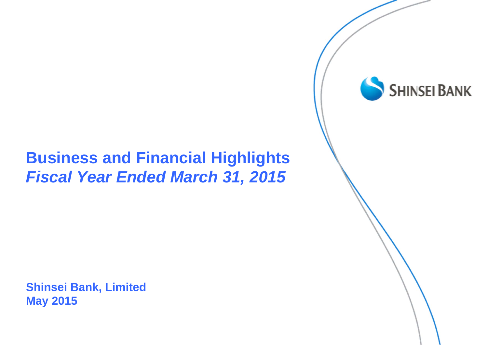#### **Business and Financial Highlights** *Fiscal Year Ended March 31, 2015*

**Shinsei Bank, Limited May 2015**

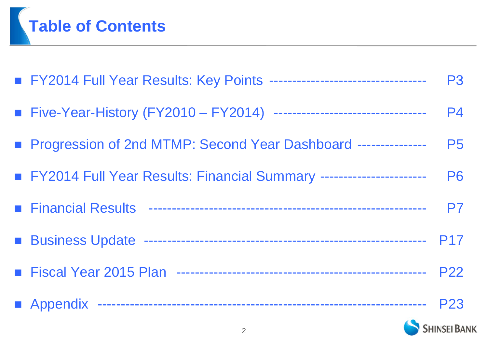

| FY2014 Full Year Results: Key Points --------------------------------  | <b>P3</b>  |
|------------------------------------------------------------------------|------------|
| ■ Five-Year-History (FY2010 - FY2014) -------------------------------- | <b>P4</b>  |
| ■ Progression of 2nd MTMP: Second Year Dashboard ---------------       | <b>P5</b>  |
| FY2014 Full Year Results: Financial Summary ----------------------     | <b>P6</b>  |
|                                                                        | P7         |
|                                                                        | <b>P17</b> |
|                                                                        |            |
|                                                                        |            |

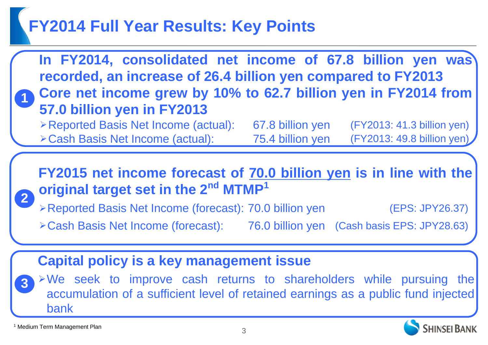#### **FY2014 Full Year Results: Key Points**



1 Medium Term Management Plan

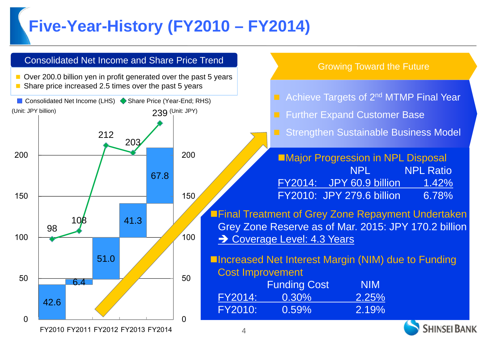### **Five-Year-History (FY2010 – FY2014)**

FY2010 FY2011 FY2012 FY2013 FY2014

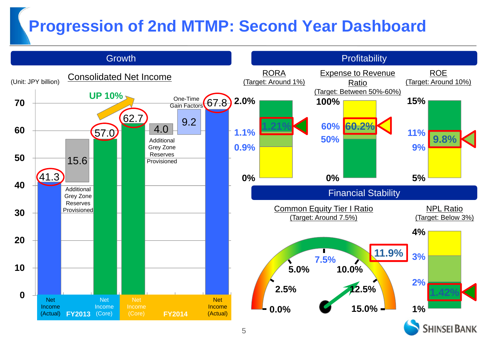### **Progression of 2nd MTMP: Second Year Dashboard**

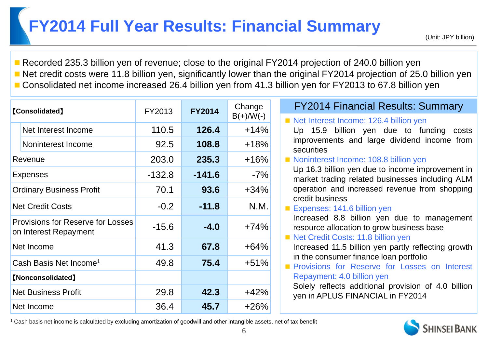### **FY2014 Full Year Results: Financial Summary**

■ Recorded 235.3 billion yen of revenue; close to the original FY2014 projection of 240.0 billion yen ■ Net credit costs were 11.8 billion yen, significantly lower than the original FY2014 projection of 25.0 billion yen ■ Consolidated net income increased 26.4 billion yen from 41.3 billion yen for FY2013 to 67.8 billion yen

|                          | <b>[Consolidated]</b>                                             | FY2013                 | <b>FY2014</b> | Change                                        | <b>FY2014 Financial Results: Summary</b>                                                                                       |  |  |
|--------------------------|-------------------------------------------------------------------|------------------------|---------------|-----------------------------------------------|--------------------------------------------------------------------------------------------------------------------------------|--|--|
|                          |                                                                   |                        |               | $B(+)/W(-)$                                   | Net Interest Income: 126.4 billion yen                                                                                         |  |  |
|                          | Net Interest Income                                               | 110.5                  | 126.4         | $+14%$                                        | Up 15.9 billion yen due to funding costs                                                                                       |  |  |
|                          | Noninterest Income                                                | 92.5                   | 108.8         | $+18%$                                        | improvements and large dividend income from<br>securities                                                                      |  |  |
|                          | Revenue                                                           | 203.0                  | 235.3         | $+16%$                                        | Noninterest Income: 108.8 billion yen                                                                                          |  |  |
| <b>Expenses</b>          |                                                                   | $-132.8$               | $-141.6$      | $-7%$                                         | Up 16.3 billion yen due to income improvement in<br>market trading related businesses including ALM                            |  |  |
|                          | <b>Ordinary Business Profit</b>                                   | 93.6<br>70.1<br>$+34%$ |               | operation and increased revenue from shopping |                                                                                                                                |  |  |
|                          | <b>Net Credit Costs</b>                                           | $-0.2$                 | $-11.8$       | N.M.                                          | credit business<br>Expenses: 141.6 billion yen                                                                                 |  |  |
|                          | <b>Provisions for Reserve for Losses</b><br>on Interest Repayment | $-15.6$                | $-4.0$        | $+74%$                                        | Increased 8.8 billion yen due to management<br>resource allocation to grow business base<br>Net Credit Costs: 11.8 billion yen |  |  |
|                          | Net Income                                                        | 41.3                   | 67.8          | $+64%$                                        | Increased 11.5 billion yen partly reflecting growth                                                                            |  |  |
|                          | Cash Basis Net Income <sup>1</sup>                                | 49.8                   | 75.4          | $+51%$                                        | in the consumer finance loan portfolio<br>Provisions for Reserve for Losses on Interest                                        |  |  |
| <b>[Nonconsolidated]</b> |                                                                   |                        |               |                                               | Repayment: 4.0 billion yen                                                                                                     |  |  |
|                          | <b>Net Business Profit</b>                                        | 29.8                   | 42.3          | $+42%$                                        | Solely reflects additional provision of 4.0 billion<br>yen in APLUS FINANCIAL in FY2014                                        |  |  |
|                          | Net Income                                                        | 36.4                   | 45.7          | $+26%$                                        |                                                                                                                                |  |  |

1 Cash basis net income is calculated by excluding amortization of goodwill and other intangible assets, net of tax benefit

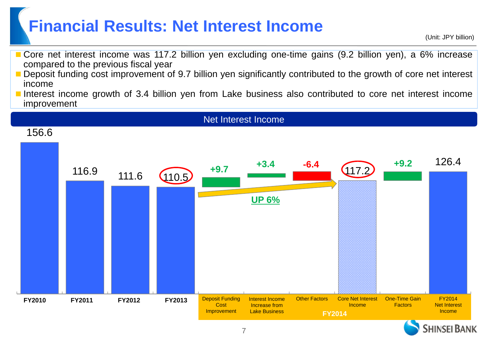#### **Financial Results: Net Interest Income**

(Unit: JPY billion)

- Core net interest income was 117.2 billion yen excluding one-time gains (9.2 billion yen), <sup>a</sup> 6% increase compared to the previous fiscal year
- Deposit funding cost improvement of 9.7 billion yen significantly contributed to the growth of core net interest income
- Interest income growth of 3.4 billion yen from Lake business also contributed to core net interest income improvement





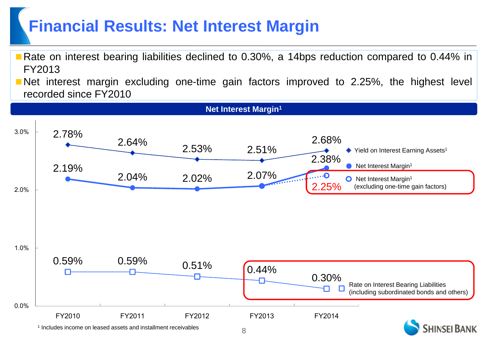#### **Financial Results: Net Interest Margin**

- Rate on interest bearing liabilities declined to 0.30%, a 14bps reduction compared to 0.44% in FY2013
- **Net interest margin excluding one-time gain factors improved to 2.25%, the highest level** recorded since FY2010

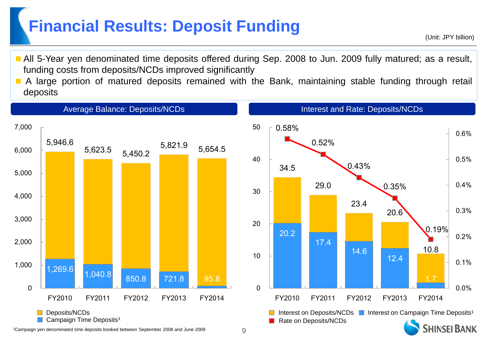#### **Financial Results: Deposit Funding**

- (Unit: JPY billion)
- All 5-Year yen denominated time deposits offered during Sep. 2008 to Jun. 2009 fully matured; as a result, funding costs from deposits/NCDs improved significantly
- $\blacksquare$  A large portion of matured deposits remained with the Bank, maintaining stable funding through retail deposits



1Campaign yen denominated time deposits booked between September 2008 and June 2009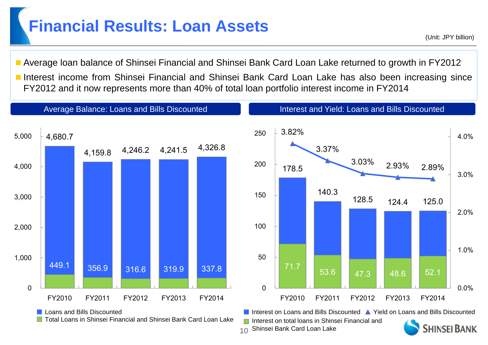#### **Financial Results: Loan Assets**

(Unit: JPY billion)

 Average loan balance of Shinsei Financial and Shinsei Bank Card Loan Lake returned to growth in FY2012 Interest income from Shinsei Financial and Shinsei Bank Card Loan Lake has also been increasing since FY2012 and it now represents more than 40% of total loan portfolio interest income in FY2014



<sub>10</sub> Shinsei Bank Card Loan Lake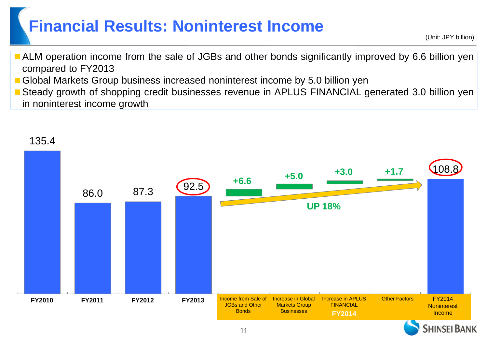#### **Financial Results: Noninterest Income**

(Unit: JPY billion)

- **ALM** operation income from the sale of JGBs and other bonds significantly improved by 6.6 billion yen compared to FY2013
- Global Markets Group business increased noninterest income by 5.0 billion yen
- **Steady growth of shopping credit businesses revenue in APLUS FINANCIAL generated 3.0 billion yen** in noninterest income growth



11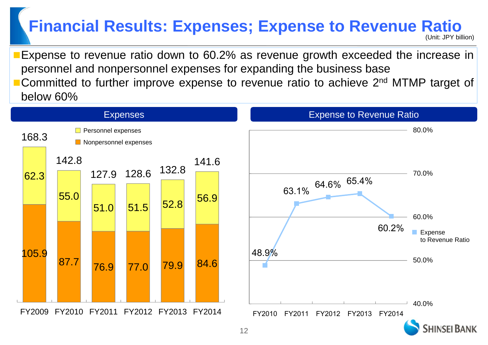### **Financial Results: Expenses; Expense to Revenue Ratio**

(Unit: JPY billion)

Expense to revenue ratio down to 60.2% as revenue growth exceeded the increase in personnel and nonpersonnel expenses for expanding the business base ■ Committed to further improve expense to revenue ratio to achieve 2<sup>nd</sup> MTMP target of below 60%

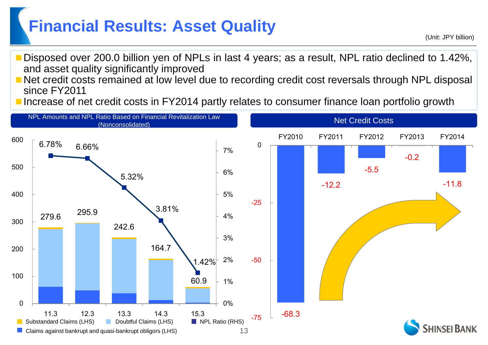# **Financial Results: Asset Quality Example 2011 120 Your CLARGE ASSET QUALITY AND AND ADDETERATED (Unit: JPY billion)**

- Disposed over 200.0 billion yen of NPLs in last 4 years; as <sup>a</sup> result, NPL ratio declined to 1.42%, and asset quality significantly improved
- Net credit costs remained at low level due to recording credit cost reversals through NPL disposal since FY2011
- Increase of net credit costs in FY2014 partly relates to consumer finance loan portfolio growth

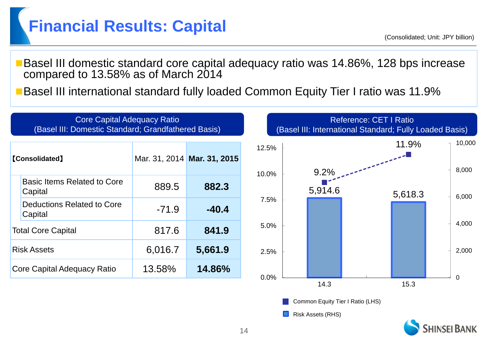### **Financial Results: Capital**

(Consolidated; Unit: JPY billion)

■Basel III domestic standard core capital adequacy ratio was 14.86%, 128 bps increase compared to 13.58% as of March 2014

■Basel III international standard fully loaded Common Equity Tier I ratio was 11.9%



**HINSEL BANK**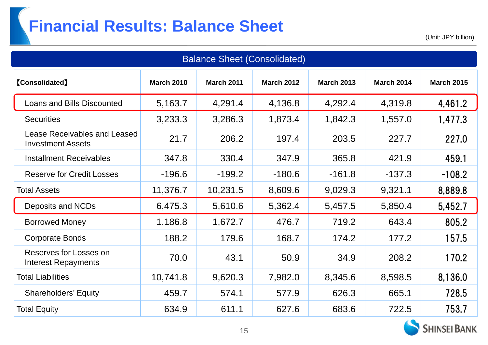## **Financial Results: Balance Sheet**

(Unit: JPY billion)

| <b>Balance Sheet (Consolidated)</b>                                                                                                          |          |          |          |          |          |          |  |  |
|----------------------------------------------------------------------------------------------------------------------------------------------|----------|----------|----------|----------|----------|----------|--|--|
| [Consolidated]<br><b>March 2010</b><br><b>March 2012</b><br><b>March 2013</b><br><b>March 2014</b><br><b>March 2011</b><br><b>March 2015</b> |          |          |          |          |          |          |  |  |
| <b>Loans and Bills Discounted</b>                                                                                                            | 5,163.7  | 4,291.4  | 4,136.8  | 4,292.4  | 4,319.8  | 4,461.2  |  |  |
| <b>Securities</b>                                                                                                                            | 3,233.3  | 3,286.3  | 1,873.4  | 1,842.3  | 1,557.0  | 1,477.3  |  |  |
| <b>Lease Receivables and Leased</b><br><b>Investment Assets</b>                                                                              | 21.7     | 206.2    | 197.4    | 203.5    | 227.7    | 227.0    |  |  |
| <b>Installment Receivables</b>                                                                                                               | 347.8    | 330.4    | 347.9    | 365.8    | 421.9    | 459.1    |  |  |
| <b>Reserve for Credit Losses</b>                                                                                                             | $-196.6$ | $-199.2$ | $-180.6$ | $-161.8$ | $-137.3$ | $-108.2$ |  |  |
| <b>Total Assets</b>                                                                                                                          | 11,376.7 | 10,231.5 | 8,609.6  | 9,029.3  | 9,321.1  | 8,889.8  |  |  |
| Deposits and NCDs                                                                                                                            | 6,475.3  | 5,610.6  | 5,362.4  | 5,457.5  | 5,850.4  | 5,452.7  |  |  |
| <b>Borrowed Money</b>                                                                                                                        | 1,186.8  | 1,672.7  | 476.7    | 719.2    | 643.4    | 805.2    |  |  |
| <b>Corporate Bonds</b>                                                                                                                       | 188.2    | 179.6    | 168.7    | 174.2    | 177.2    | 157.5    |  |  |
| Reserves for Losses on<br><b>Interest Repayments</b>                                                                                         | 70.0     | 43.1     | 50.9     | 34.9     | 208.2    | 170.2    |  |  |
| <b>Total Liabilities</b>                                                                                                                     | 10,741.8 | 9,620.3  | 7,982.0  | 8,345.6  | 8,598.5  | 8,136.0  |  |  |
| <b>Shareholders' Equity</b>                                                                                                                  | 459.7    | 574.1    | 577.9    | 626.3    | 665.1    | 728.5    |  |  |
| <b>Total Equity</b>                                                                                                                          | 634.9    | 611.1    | 627.6    | 683.6    | 722.5    | 753.7    |  |  |

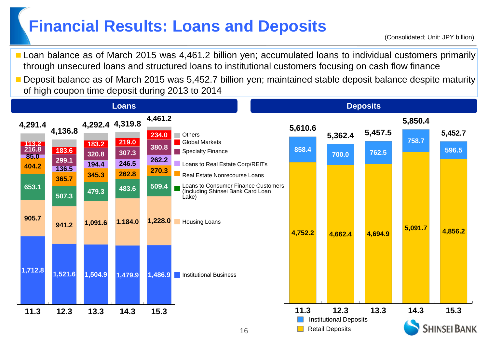#### **Financial Results: Loans and Deposits**

**Loan balance as of March 2015 was 4,461.2 billion yen; accumulated loans to individual customers primarily** through unsecured loans and structured loans to institutional customers focusing on cash flow finance

 Deposit balance as of March 2015 was 5,452.7 billion yen; maintained stable deposit balance despite maturity of high coupon time deposit during 2013 to 2014

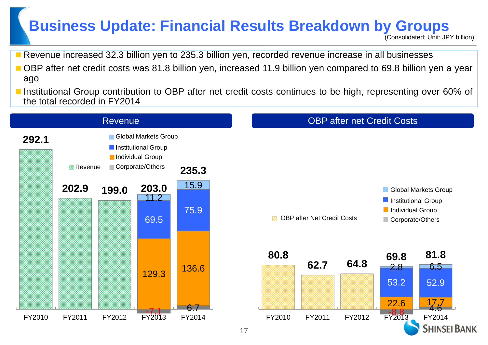#### **Business Update: Financial Results Breakdown by Groups**

(Consolidated; Unit: JPY billion)

- **Revenue increased 32.3 billion yen to 235.3 billion yen, recorded revenue increase in all businesses**
- OBP after net credit costs was 81.8 billion yen, increased 11.9 billion yen compared to 69.8 billion yen a year ago
- **Institutional Group contribution to OBP after net credit costs continues to be high, representing over 60% of** the total recorded in FY2014

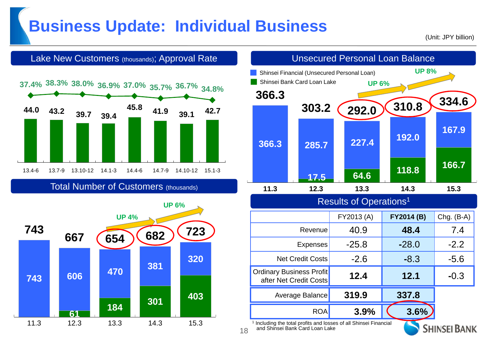#### **Business Update: Individual Business**

(Unit: JPY billion)



Total Number of Customers (thousands)





Including the total profits and losses of all Shinsei Financial and Shinsei Bank Card Loan Lake

18

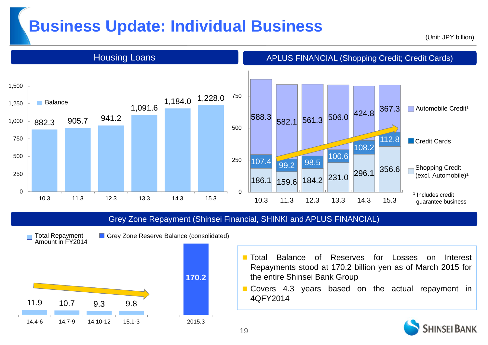#### **Business Update: Individual Business**

(Unit: JPY billion)



#### Grey Zone Repayment (Shinsei Financial, SHINKI and APLUS FINANCIAL)



- Grey Zone Reserve Balance (consolidated)
- $\blacksquare$  Total Balance of Reserves for Losses on Interest Repayments stood at 170.2 billion yen as of March 2015 for the entire Shinsei Bank Group
- Covers 4.3 years based on the actual repayment in 4QFY2014

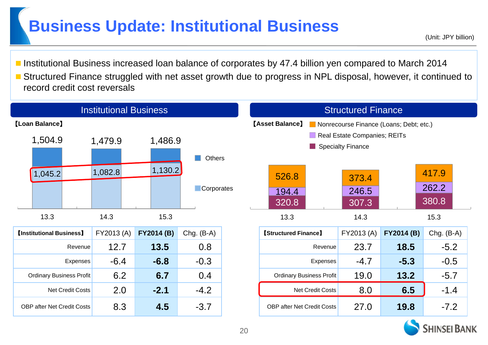#### **Business Update: Institutional Business**

- Institutional Business increased Ioan balance of corporates by 47.4 billion yen compared to March 2014
- Structured Finance struggled with net asset growth due to progress in NPL disposal, however, it continued to record credit cost reversals



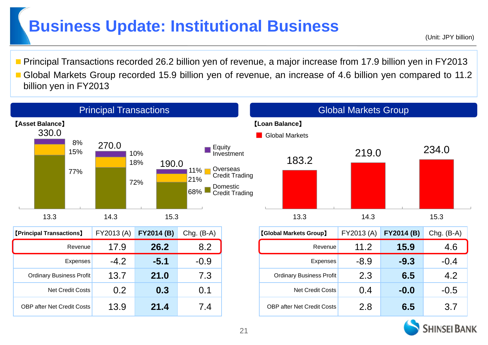#### **Business Update: Institutional Business**

(Unit: JPY billion)

■ Principal Transactions recorded 26.2 billion yen of revenue, a major increase from 17.9 billion yen in FY2013 Global Markets Group recorded 15.9 billion yen of revenue, an increase of 4.6 billion yen compared to 11.2 billion yen in FY2013

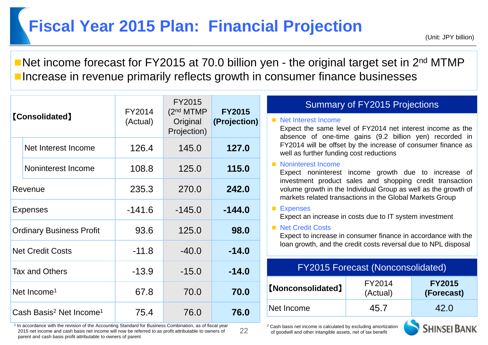#### **Fiscal Year 2015 Plan: Financial Projection**

Net income forecast for FY2015 at 70.0 billion yen - the original target set in 2<sup>nd</sup> MTMP **Increase in revenue primarily reflects growth in consumer finance businesses** 

| <b>[Consolidated]</b>                           |                         | FY2014   | FY2015<br>(2 <sup>nd</sup> MTMP)<br>Original<br>Projection) | <b>FY2015</b>                                                  | <b>Summary of FY2015 Projections</b>                                                                                                                                                   |                    |                             |
|-------------------------------------------------|-------------------------|----------|-------------------------------------------------------------|----------------------------------------------------------------|----------------------------------------------------------------------------------------------------------------------------------------------------------------------------------------|--------------------|-----------------------------|
|                                                 |                         | (Actual) |                                                             | (Projection)                                                   | Net Interest Income<br>Expect the same level of FY2014 net interest income as the                                                                                                      |                    |                             |
|                                                 | Net Interest Income     | 126.4    | 145.0                                                       | 127.0                                                          | absence of one-time gains (9.2 billion yen) recorded in<br>FY2014 will be offset by the increase of consumer finance as<br>well as further funding cost reductions                     |                    |                             |
|                                                 | Noninterest Income      | 108.8    | 125.0                                                       | 115.0                                                          | Noninterest Income<br>Expect noninterest income growth due to increase of                                                                                                              |                    |                             |
| Revenue                                         |                         | 235.3    | 270.0                                                       | 242.0                                                          | investment product sales and shopping credit transaction<br>volume growth in the Individual Group as well as the growth of<br>markets related transactions in the Global Markets Group |                    |                             |
|                                                 | <b>Expenses</b>         | $-141.6$ | $-145.0$                                                    | $-144.0$                                                       | ■ Expenses<br>Expect an increase in costs due to IT system investment                                                                                                                  |                    |                             |
| <b>Ordinary Business Profit</b>                 |                         | 93.6     | 125.0                                                       | 98.0                                                           | Net Credit Costs<br>Expect to increase in consumer finance in accordance with the                                                                                                      |                    |                             |
| $-11.8$<br><b>Net Credit Costs</b>              |                         | $-40.0$  | $-14.0$                                                     | loan growth, and the credit costs reversal due to NPL disposal |                                                                                                                                                                                        |                    |                             |
| $-13.9$<br>$-15.0$<br>Tax and Others            |                         | $-14.0$  |                                                             | <b>FY2015 Forecast (Nonconsolidated)</b>                       |                                                                                                                                                                                        |                    |                             |
|                                                 | Net Income <sup>1</sup> | 67.8     | 70.0                                                        | 70.0                                                           | <b>[Nonconsolidated]</b>                                                                                                                                                               | FY2014<br>(Actual) | <b>FY2015</b><br>(Forecast) |
| Cash Basis <sup>2</sup> Net Income <sup>1</sup> |                         | 75.4     | 76.0                                                        | 76.0                                                           | Net Income                                                                                                                                                                             | 45.7               | 42.0                        |

22

1 In accordance with the revision of the Accounting Standard for Business Combination, as of fiscal year 2015 net income and cash basis net income will now be referred to as profit attributable to owners of parent and cash basis profit attributable to owners of parent

| <b>FY2015 Forecast (Nonconsolidated)</b> |                    |                             |  |  |
|------------------------------------------|--------------------|-----------------------------|--|--|
| <b>[Nonconsolidated]</b>                 | FY2014<br>(Actual) | <b>FY2015</b><br>(Forecast) |  |  |
| Net Income                               | 45.7               | 42.0                        |  |  |

2 Cash basis net income is calculated by excluding amortization of goodwill and other intangible assets, net of tax benefit

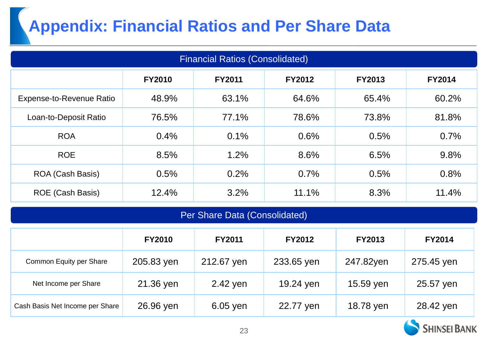# **Appendix: Financial Ratios and Per Share Data**

| <b>Financial Ratios (Consolidated)</b>                                            |       |       |       |       |       |  |  |
|-----------------------------------------------------------------------------------|-------|-------|-------|-------|-------|--|--|
| <b>FY2010</b><br><b>FY2011</b><br><b>FY2012</b><br><b>FY2013</b><br><b>FY2014</b> |       |       |       |       |       |  |  |
| <b>Expense-to-Revenue Ratio</b>                                                   | 48.9% | 63.1% | 64.6% | 65.4% | 60.2% |  |  |
| Loan-to-Deposit Ratio                                                             | 76.5% | 77.1% | 78.6% | 73.8% | 81.8% |  |  |
| <b>ROA</b>                                                                        | 0.4%  | 0.1%  | 0.6%  | 0.5%  | 0.7%  |  |  |
| <b>ROE</b>                                                                        | 8.5%  | 1.2%  | 8.6%  | 6.5%  | 9.8%  |  |  |
| ROA (Cash Basis)                                                                  | 0.5%  | 0.2%  | 0.7%  | 0.5%  | 0.8%  |  |  |
| <b>ROE</b> (Cash Basis)                                                           | 12.4% | 3.2%  | 11.1% | 8.3%  | 11.4% |  |  |

#### Per Share Data (Consolidated)

|                                 | <b>FY2010</b> | <b>FY2011</b> | <b>FY2012</b> | <b>FY2013</b> | <b>FY2014</b> |
|---------------------------------|---------------|---------------|---------------|---------------|---------------|
| Common Equity per Share         | 205.83 yen    | 212.67 yen    | 233.65 yen    | 247.82yen     | 275.45 yen    |
| Net Income per Share            | 21.36 yen     | 2.42 yen      | 19.24 yen     | 15.59 yen     | 25.57 yen     |
| Cash Basis Net Income per Share | 26.96 yen     | 6.05 yen      | 22.77 yen     | 18.78 yen     | 28.42 yen     |

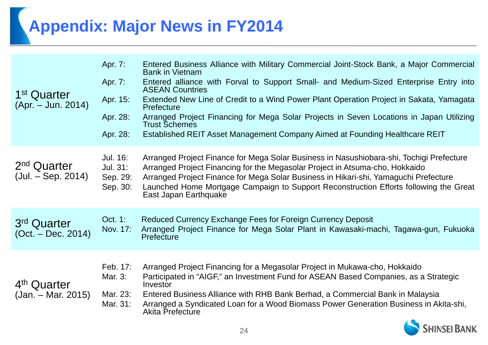# **Appendix: Major News in FY2014**

| 1 <sup>st</sup> Quarter<br>(Apr. – Jun. 2014)   | Apr. 7:<br>Apr. 7:<br>Apr. 15:<br>Apr. 28:<br>Apr. 28: | Entered Business Alliance with Military Commercial Joint-Stock Bank, a Major Commercial<br><b>Bank in Vietnam</b><br>Entered alliance with Forval to Support Small- and Medium-Sized Enterprise Entry into<br><b>ASEAN Countries</b><br>Extended New Line of Credit to a Wind Power Plant Operation Project in Sakata, Yamagata<br>Prefecture<br>Arranged Project Financing for Mega Solar Projects in Seven Locations in Japan Utilizing<br><b>Trust Schemes</b><br>Established REIT Asset Management Company Aimed at Founding Healthcare REIT |
|-------------------------------------------------|--------------------------------------------------------|--------------------------------------------------------------------------------------------------------------------------------------------------------------------------------------------------------------------------------------------------------------------------------------------------------------------------------------------------------------------------------------------------------------------------------------------------------------------------------------------------------------------------------------------------|
| 2 <sup>nd</sup> Quarter<br>$(Jul. - Sep. 2014)$ | Jul. 16:<br>Jul. 31:<br>Sep. 29:<br>Sep. 30:           | Arranged Project Finance for Mega Solar Business in Nasushiobara-shi, Tochigi Prefecture<br>Arranged Project Financing for the Megasolar Project in Atsuma-cho, Hokkaido<br>Arranged Project Finance for Mega Solar Business in Hikari-shi, Yamaguchi Prefecture<br>Launched Home Mortgage Campaign to Support Reconstruction Efforts following the Great<br>East Japan Earthquake                                                                                                                                                               |
| 3 <sup>rd</sup> Quarter<br>$(Oct. - Dec. 2014)$ | Oct. 1:<br>Nov. 17:                                    | Reduced Currency Exchange Fees for Foreign Currency Deposit<br>Arranged Project Finance for Mega Solar Plant in Kawasaki-machi, Tagawa-gun, Fukuoka<br>Prefecture                                                                                                                                                                                                                                                                                                                                                                                |
| 4 <sup>th</sup> Quarter<br>$(Jan. - Mar. 2015)$ | Feb. 17:<br>Mar. 3:<br>Mar. 23:<br>Mar. 31:            | Arranged Project Financing for a Megasolar Project in Mukawa-cho, Hokkaido<br>Participated in "AIGF," an Investment Fund for ASEAN Based Companies, as a Strategic<br>Investor<br>Entered Business Alliance with RHB Bank Berhad, a Commercial Bank in Malaysia<br>Arranged a Syndicated Loan for a Wood Biomass Power Generation Business in Akita-shi,<br><b>Akita Prefecture</b><br><b>ALL</b>                                                                                                                                                |